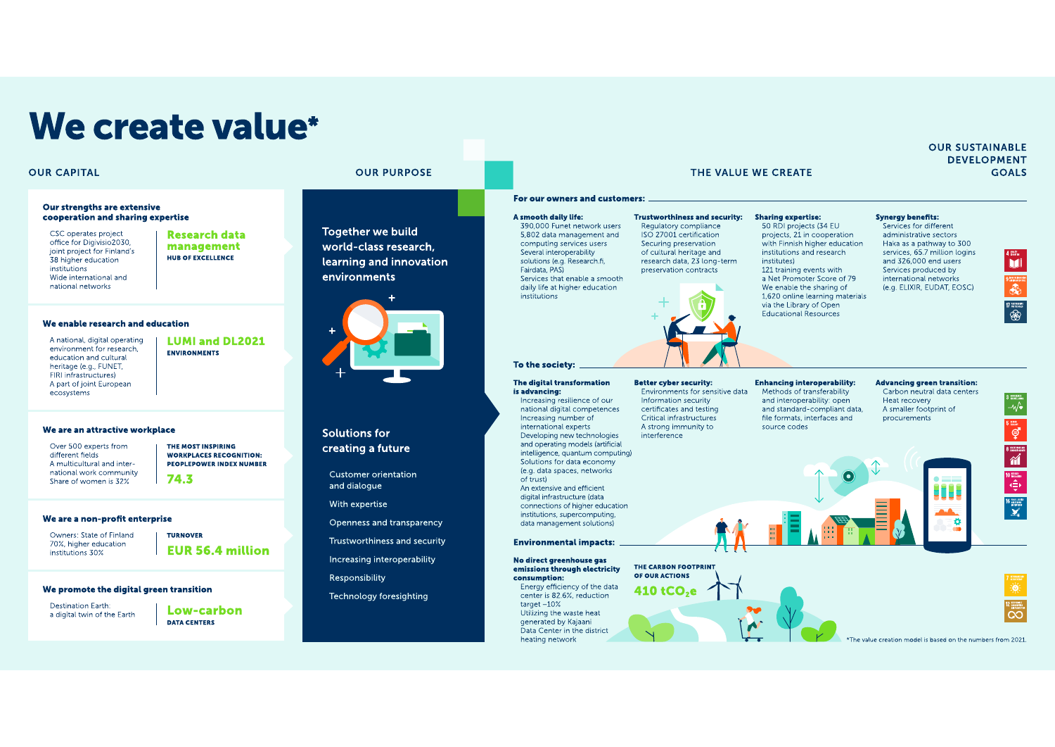# We create value\*

#### **OUR CAPITAL**

#### **Our strengths are extensive** cooperation and sharing expertise

CSC operates project office for Digivisio 2030 joint project for Finland's 38 higher education institutions Wide international and national networks

**Research data** management HUB OF EXCELLENCE

#### We enable research and education

A national, digital operating environment for research. education and cultural heritage (e.g., FUNET, FIRI infrastructures) A part of joint European ecosystems

**LUMI and DL2021** ENVIRONMENTS

#### We are an attractive workplace

Over 500 experts from different fields A multicultural and international work community Share of women is 32%

#### **PEOPLEPOWER INDEX NUMBER** 74.3

THE MOST INSPIRING

**WORKPLACES RECOGNITION:** 

#### We are a non-profit enterprise

Owners: State of Finland 70%, higher education institutions 30%

**TURNOVER EUR 56.4 million** 

#### We promote the digital green transition

Destination Earth: a digital twin of the Earth Low-carbon **DATA CENTERS** 

**OUR PURPOSE** 

## **Together we build** world-class research. learning and innovation environments



**Solutions for** creating a future

Customer orientation and dialogue

With expertise

Openness and transparency

Trustworthiness and security

Increasing interoperability

Responsibility

Technology foresighting

#### For our owners and customers: A smooth daily life: **Trustworthiness and security:** 390,000 Funet network users 5.802 data management and computing services users Several interoperability

solutions (e.g. Research.fi, Fairdata, PAS) Services that enable a smooth daily life at higher education institutions

#### Regulatory compliance ISO 27001 certification Securing preservation of cultural heritage and research data, 23 long-term preservation contracts

## 50 RDI projects (34 EU institutes)

THE VALUE WE CREATE

projects 21 in cooperation with Finnish higher education institutions and research 121 training events with a Net Promoter Score of 79 We enable the sharing of 1.620 online learning materials

via the Library of Open **Educational Resources** 

**Sharing expertise:** 

#### **Synerav benefits:**

Services for different administrative sectors Haka as a pathway to 300 and 326,000 end users Services produced by international networks (e.g. ELIXIR, EUDAT, EOSC)

services, 65.7 million logins



**GOALS** 

**OUR SUSTAINABLE DEVELOPMENT** 

#### To the society: The digital transformation

is advancing: Increasing resilience of our national digital competences Increasing number of international experts Developing new technologies interference and operating models (artificial intelligence, quantum computing)

Solutions for data economy (e.g. data spaces, networks of trust) An extensive and efficient digital infrastructure (data connections of higher education institutions, supercomputing, data management solutions)

#### **Environmental impacts:**

No direct greenhouse gas emissions through electricity consumption:

Energy efficiency of the data center is 82.6%, reduction target $-10\%$ Utilizing the waste heat generated by Kajaani Data Center in the district heating network

**Better cyber security:** Environments for sensitive data Information security certificates and testing Critical infrastructures A strong immunity to

THE CARBON FOOTPRINT

OF OUR ACTIONS

410 tCO.e

**Enhancing interoperability:** Methods of transferability and interoperability: open and standard-compliant data. file formats, interfaces and source codes

#### **Advancing green transition:** Carbon neutral data centers Heat recovery

A smaller footprint of procurements

省  $\begin{array}{c} \mathbf{0} \text{ and } \\ \mathbf{0} \text{ and } \\ \mathbf{0} \text{ and } \\ \mathbf{0} \text{ and } \\ \mathbf{0} \text{ and } \\ \mathbf{0} \text{ and } \\ \mathbf{0} \text{ and } \\ \mathbf{0} \text{ and } \\ \mathbf{0} \text{ and } \\ \mathbf{0} \text{ and } \\ \mathbf{0} \text{ and } \\ \mathbf{0} \text{ and } \\ \mathbf{0} \text{ and } \\ \mathbf{0} \text{ and } \\ \mathbf{0} \text{ and } \\ \mathbf{0} \text{ and } \\ \mathbf{0} \text{ and } \\ \mathbf{0} \text{$ 

he value creation model is based on the numbers from 2021.

Đ